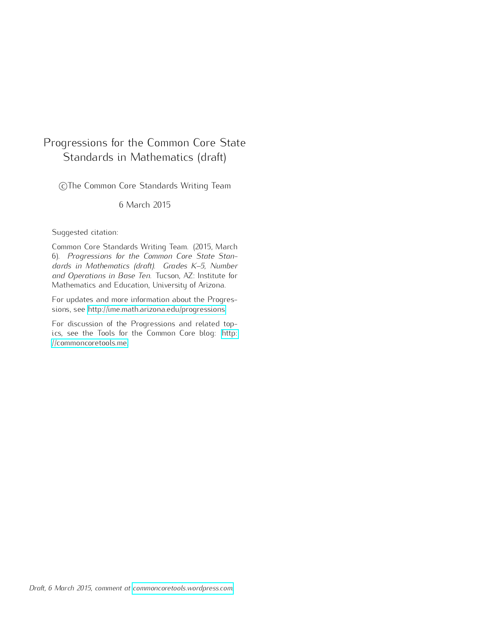# <span id="page-0-0"></span>Progressions for the Common Core State Standards in Mathematics (draft)

CThe Common Core Standards Writing Team

6 March 2015

#### Suggested citation:

Common Core Standards Writing Team. (2015, March 6). *Progressions for the Common Core State Standards in Mathematics (draft). Grades K–5, Number and Operations in Base Ten.* Tucson, AZ: Institute for Mathematics and Education, University of Arizona.

For updates and more information about the Progressions, see [http://ime.math.arizona.edu/progressions.](http://ime.math.arizona.edu/progressions)

For discussion of the Progressions and related topics, see the Tools for the Common Core blog: [http:](http://commoncoretools.me) [//commoncoretools.me.](http://commoncoretools.me)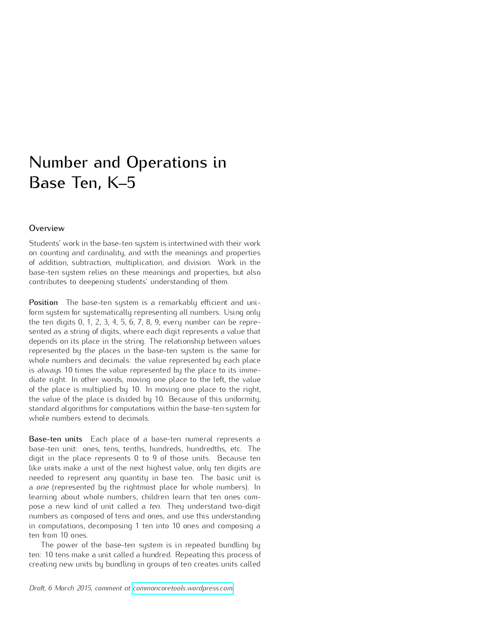# Number and Operations in Base Ten, K–5

#### **Overview**

Students' work in the base-ten system is intertwined with their work on counting and cardinality, and with the meanings and properties of addition, subtraction, multiplication, and division. Work in the base-ten system relies on these meanings and properties, but also contributes to deepening students' understanding of them.

Position The base-ten system is a remarkably efficient and uniform system for systematically representing all numbers. Using only the ten digits 0, 1, 2, 3, 4, 5, 6, 7, 8, 9, every number can be represented as a string of digits, where each digit represents a value that depends on its place in the string. The relationship between values represented by the places in the base-ten system is the same for whole numbers and decimals: the value represented by each place is always 10 times the value represented by the place to its immediate right. In other words, moving one place to the left, the value of the place is multiplied by 10. In moving one place to the right, the value of the place is divided by 10. Because of this uniformity, standard algorithms for computations within the base-ten system for whole numbers extend to decimals.

Base-ten units Each place of a base-ten numeral represents a base-ten unit: ones, tens, tenths, hundreds, hundredths, etc. The digit in the place represents 0 to 9 of those units. Because ten like units make a unit of the next highest value, only ten digits are needed to represent any quantity in base ten. The basic unit is a *one* (represented by the rightmost place for whole numbers). In learning about whole numbers, children learn that ten ones compose a new kind of unit called a *ten*. They understand two-digit numbers as composed of tens and ones, and use this understanding in computations, decomposing 1 ten into 10 ones and composing a ten from 10 ones.

The power of the base-ten system is in repeated bundling by ten: 10 tens make a unit called a hundred. Repeating this process of creating new units by bundling in groups of ten creates units called

*Draft, 6 March 2015, comment at [commoncoretools.wordpress.com.](commoncoretools.wordpress.com)*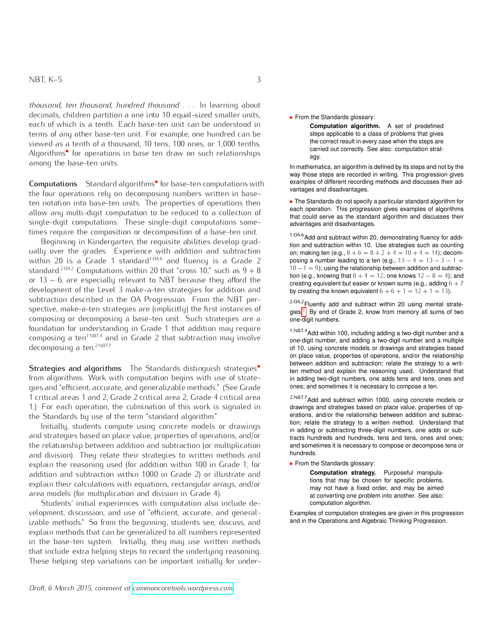#### $NBT, K-5$  3

*thousand*, *ten thousand*, *hundred thousand* . . . In learning about decimals, children partition a one into 10 equal-sized smaller units, each of which is a tenth. Each base-ten unit can be understood in terms of any other base-ten unit. For example, one hundred can be viewed as a tenth of a thousand, 10 tens, 100 ones, or 1*,*000 tenths. Algorithms*•* for operations in base ten draw on such relationships among the base-ten units.

Computations Standard algorithms<sup>•</sup> for base-ten computations with the four operations rely on decomposing numbers written in baseten notation into base-ten units. The properties of operations then allow any multi-digit computation to be reduced to a collection of single-digit computations. These single-digit computations sometimes require the composition or decomposition of a base-ten unit.

Beginning in Kindergarten, the requisite abilities develop gradually over the grades. Experience with addition and subtraction within 20 is a Grade 1 standard<sup>1.0A6</sup> and fluency is a Grade 2 standard.<sup>2.0A.2</sup> Computations within 20 that "cross 10," such as  $9 + 8$ or  $13 - 6$ , are especially relevant to NBT because they afford the development of the Level 3 make-a-ten strategies for addition and subtraction described in the OA Progression. From the NBT perspective, make-a-ten strategies are (implicitly) the first instances of composing or decomposing a base-ten unit. Such strategies are a foundation for understanding in Grade 1 that addition may require composing a ten<sup>1.NBT.4</sup> and in Grade 2 that subtraction may involve decomposing a ten.<sup>2.NBT.7</sup>

Strategies and algorithms The Standards distinguish strategies*•* from algorithms. Work with computation begins with use of strategies and "efficient, accurate, and generalizable methods." (See Grade 1 critical areas 1 and 2, Grade 2 critical area 2; Grade 4 critical area 1.) For each operation, the culmination of this work is signaled in the Standards by use of the term "standard algorithm."

Initially, students compute using concrete models or drawings and strategies based on place value, properties of operations, and/or the relationship between addition and subtraction (or multiplication and division). They relate their strategies to written methods and explain the reasoning used (for addition within 100 in Grade 1; for addition and subtraction within 1000 in Grade 2) or illustrate and explain their calculations with equations, rectangular arrays, and/or area models (for multiplication and division in Grade 4).

Students' initial experiences with computation also include development, discussion, and use of "efficient, accurate, and generalizable methods." So from the beginning, students see, discuss, and explain methods that can be generalized to all numbers represented in the base-ten system. Initially, they may use written methods that include extra helping steps to record the underlying reasoning. These helping step variations can be important initially for under-

*•* From the Standards glossary:

**Computation algorithm.** A set of predefined steps applicable to a class of problems that gives the correct result in every case when the steps are carried out correctly. See also: computation strategy.

In mathematics, an algorithm is defined by its steps and not by the way those steps are recorded in writing. This progression gives examples of different recording methods and discusses their advantages and disadvantages.

*•* The Standards do not specify a particular standard algorithm for each operation. This progression gives examples of algorithms that could serve as the standard algorithm and discusses their advantages and disadvantages.

 $1.0A.6$  Add and subtract within 20, demonstrating fluency for addition and subtraction within 10. Use strategies such as counting on; making ten (e.g.,  $8 + 6 = 8 + 2 + 4 = 10 + 4 = 14$ ); decomposing a number leading to a ten (e.g.,  $13 - 4 = 13 - 3 - 1 =$  $10 - 1 = 9$ ); using the relationship between addition and subtraction (e.g., knowing that  $8 + 4 = 12$ , one knows  $12 - 8 = 4$ ); and creating equivalent but easier or known sums (e.g., adding  $6 + 7$ by creating the known equivalent  $6 + 6 + 1 = 12 + 1 = 13$ .

2.0A.2 Fluently add and subtract within 20 using mental strategies.[1](#page-0-0) By end of Grade 2, know from memory all sums of two one-digit numbers.

 $1.$ NBT. $4$ Add within 100, including adding a two-digit number and a one-digit number, and adding a two-digit number and a multiple of 10, using concrete models or drawings and strategies based on place value, properties of operations, and/or the relationship between addition and subtraction; relate the strategy to a written method and explain the reasoning used. Understand that in adding two-digit numbers, one adds tens and tens, ones and ones; and sometimes it is necessary to compose a ten.

2.NBT.7 Add and subtract within 1000, using concrete models or drawings and strategies based on place value, properties of operations, and/or the relationship between addition and subtraction; relate the strategy to a written method. Understand that in adding or subtracting three-digit numbers, one adds or subtracts hundreds and hundreds, tens and tens, ones and ones; and sometimes it is necessary to compose or decompose tens or hundreds.

*•* From the Standards glossary:

**Computation strategy.** Purposeful manipulations that may be chosen for specific problems, may not have a fixed order, and may be aimed at converting one problem into another. See also: computation algorithm.

Examples of computation strategies are given in this progression and in the Operations and Algebraic Thinking Progression.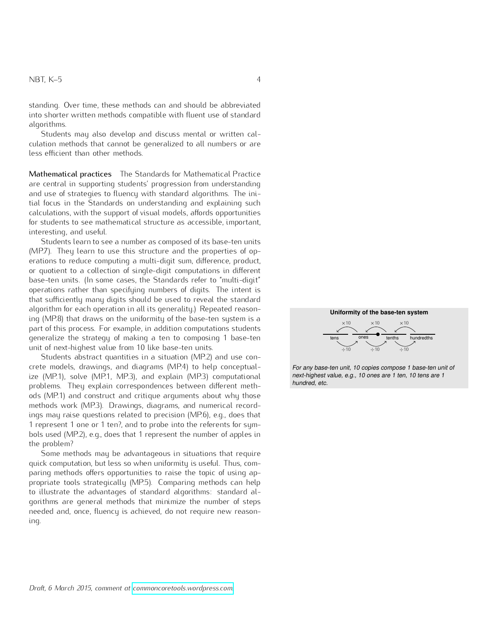standing. Over time, these methods can and should be abbreviated into shorter written methods compatible with fluent use of standard algorithms.

Students may also develop and discuss mental or written calculation methods that cannot be generalized to all numbers or are less efficient than other methods.

Mathematical practices The Standards for Mathematical Practice are central in supporting students' progression from understanding and use of strategies to fluency with standard algorithms. The initial focus in the Standards on understanding and explaining such calculations, with the support of visual models, affords opportunities for students to see mathematical structure as accessible, important, interesting, and useful.

Students learn to see a number as composed of its base-ten units (MP.7). They learn to use this structure and the properties of operations to reduce computing a multi-digit sum, difference, product, or quotient to a collection of single-digit computations in different base-ten units. (In some cases, the Standards refer to "multi-digit" operations rather than specifying numbers of digits. The intent is that sufficiently many digits should be used to reveal the standard algorithm for each operation in all its generality.) Repeated reasoning (MP.8) that draws on the uniformity of the base-ten system is a part of this process. For example, in addition computations students generalize the strategy of making a ten to composing 1 base-ten unit of next-highest value from 10 like base-ten units.

Students abstract quantities in a situation (MP.2) and use concrete models, drawings, and diagrams (MP.4) to help conceptualize (MP.1), solve (MP.1, MP.3), and explain (MP.3) computational problems. They explain correspondences between different methods (MP.1) and construct and critique arguments about why those methods work (MP.3). Drawings, diagrams, and numerical recordings may raise questions related to precision (MP.6), e.g., does that 1 represent 1 one or 1 ten?, and to probe into the referents for symbols used (MP.2), e.g., does that 1 represent the number of apples in the problem?

Some methods may be advantageous in situations that require quick computation, but less so when uniformity is useful. Thus, comparing methods offers opportunities to raise the topic of using appropriate tools strategically (MP.5). Comparing methods can help to illustrate the advantages of standard algorithms: standard algorithms are general methods that minimize the number of steps needed and, once, fluency is achieved, do not require new reasoning.



For any base-ten unit, 10 copies compose 1 base-ten unit of next-highest value, e.g., 10 ones are 1 ten, 10 tens are 1 hundred, etc.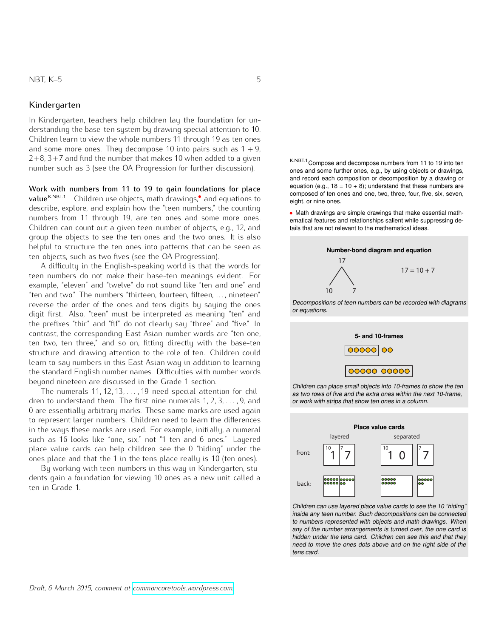#### Kindergarten

In Kindergarten, teachers help children lay the foundation for understanding the base-ten system by drawing special attention to 10. Children learn to view the whole numbers 11 through 19 as ten ones and some more ones. They decompose 10 into pairs such as  $1 + 9$ ,  $2+8$ ,  $3+7$  and find the number that makes 10 when added to a given number such as 3 (see the OA Progression for further discussion).

<span id="page-4-0"></span>Work with numbers from 11 to 19 to gain foundations for place **Figure 1:** valueK.NBT.1 Children use objects, math drawings,*•* and equations to describe, explore, and explain how the "teen numbers," the counting numbers from 11 through 19, are ten ones and some more ones. Children can count out a given teen number of objects, e.g., 12, and group the objects to see the ten ones and the two ones. It is also helpful to structure the ten ones into patterns that can be seen as ten objects, such as two fives (see the OA Progression).

learn to say numbers in this East Asian way in addition to learning digit first. Also, "teen" must be interpreted as meaning "ten" and the standard English number names. Difficulties with number words A difficulty in the English-speaking world is that the words for teen numbers do not make their base-ten meanings evident. For example, "eleven" and "twelve" do not sound like "ten and one" and "ten and two." The numbers "thirteen, fourteen, fifteen, . . . , nineteen" reverse the order of the ones and tens digits by saying the ones the prefixes "thir" and "fif" do not clearly say "three" and "five." In contrast, the corresponding East Asian number words are "ten one, ten two, ten three," and so on, fitting directly with the base-ten structure and drawing attention to the role of ten. Children could beyond nineteen are discussed in the Grade 1 section.

aren te anderemarka mensionale marks. These same marks are used again The numerals 11*,* 12*,* 13*, . . . ,* 19 need special attention for children to understand them. The first nine numerals 1*,* 2*,* 3*, . . . ,* 9, and to represent larger numbers. Children need to learn the differences in the ways these marks are used. For example, initially, a numeral such as 16 looks like "one, six," not "1 ten and 6 ones." Layered place value cards can help children see the 0 "hiding" under the ones place and that the 1 in the tens place really is 10 (ten ones).

By working with teen numbers in this way in Kindergarten, students gain a foundation for viewing 10 ones as a new unit called a ten in Grade 1.

K.NBT.1 Compose and decompose numbers from 11 to 19 into ten ones and some further ones, e.g., by using objects or drawings, and record each composition or decomposition by a drawing or equation (e.g.,  $18 = 10 + 8$ ); understand that these numbers are composed of ten ones and one, two, three, four, five, six, seven, eight, or nine ones.

• Math drawings are simple drawings that make essential mathematical features and relationships salient while suppressing details that are not relevant to the mathematical ideas. ,<br>av<br>hip na<br>pl<br>ati





Children can place small objects into 10-frames to show the ten as two rows of five and the extra ones within the next 10-frame, or work with strips that show ten ones in a column. 10 strip



Children can use layered place value cards to see the 10 "hiding" inside any teen number. Such decompositions can be connected to numbers represented with objects and math drawings. When any of the number arrangements is turned over, the one card is hidden under the tens card. Children can see this and that they need to move the ones dots above and on the right side of the tens card.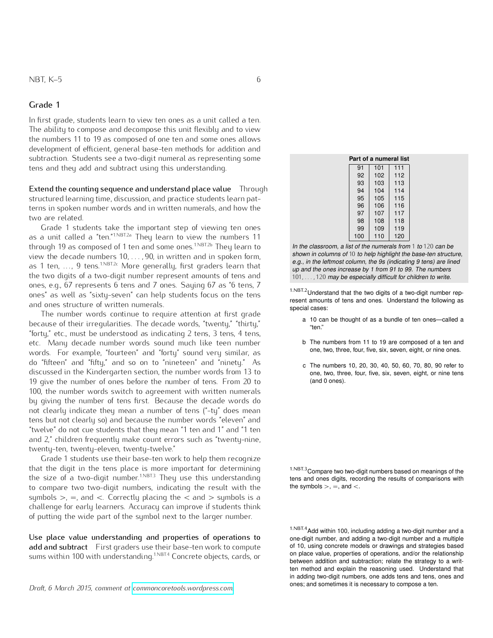In first grade, students learn to view ten ones as a unit called a ten. The ability to compose and decompose this unit flexibly and to view the numbers 11 to 19 as composed of one ten and some ones allows development of efficient, general base-ten methods for addition and subtraction. Students see a two-digit numeral as representing some tens and they add and subtract using this understanding.

Extend the counting sequence and understand place value Through structured learning time, discussion, and practice students learn patterns in spoken number words and in written numerals, and how the two are related.

Grade 1 students take the important step of viewing ten ones as a unit called a "ten."<sup>1.NBT.2a</sup> They learn to view the numbers 11 through 19 as composed of 1 ten and some ones.<sup>1.NBT.2b</sup> They learn to view the decade numbers 10*, . . . ,* 90, in written and in spoken form, as 1 ten, ..., 9 tens.<sup>1.NBT.2c</sup> More generally, first graders learn that the two digits of a two-digit number represent amounts of tens and ones, e.g., 67 represents 6 tens and 7 ones. Saying 67 as "6 tens, 7 ones" as well as "sixty-seven" can help students focus on the tens and ones structure of written numerals.

The number words continue to require attention at first grade because of their irregularities. The decade words, "twenty," "thirty," "forty," etc., must be understood as indicating 2 tens, 3 tens, 4 tens, etc. Many decade number words sound much like teen number words. For example, "fourteen" and "forty" sound very similar, as do "fifteen" and "fifty," and so on to "nineteen" and "ninety." As discussed in the Kindergarten section, the number words from 13 to 19 give the number of ones before the number of tens. From 20 to 100, the number words switch to agreement with written numerals by giving the number of tens first. Because the decade words do not clearly indicate they mean a number of tens ("-ty" does mean tens but not clearly so) and because the number words "eleven" and "twelve" do not cue students that they mean "1 ten and 1" and "1 ten and 2," children frequently make count errors such as "twenty-nine, twenty-ten, twenty-eleven, twenty-twelve."

Grade 1 students use their base-ten work to help them recognize that the digit in the tens place is more important for determining the size of a two-digit number.<sup>1.NBT.3</sup> They use this understanding to compare two two-digit numbers, indicating the result with the  $\qquad \qquad$  the symbols  $>$ ,  $=$ , and  $<$ . symbols  $>$ ,  $=$ , and  $\lt$ . Correctly placing the  $\lt$  and  $>$  symbols is a challenge for early learners. Accuracy can improve if students think of putting the wide part of the symbol next to the larger number.

Use place value understanding and properties of operations to add and subtract First graders use their base-ten work to compute sums within 100 with understanding.<sup>1.NBT.4</sup> Concrete objects, cards, or

ones; and sometimes it is necessary to compose a ten. *Draft, 6 March 2015, comment at [commoncoretools.wordpress.com.](commoncoretools.wordpress.com)*

| Part of a numeral list |     |     |     |  |
|------------------------|-----|-----|-----|--|
|                        | 91  | 101 | 111 |  |
|                        | 92  | 102 | 112 |  |
|                        | 93  | 103 | 113 |  |
|                        | 94  | 104 | 114 |  |
|                        | 95  | 105 | 115 |  |
|                        | 96  | 106 | 116 |  |
|                        | 97  | 107 | 117 |  |
|                        | 98  | 108 | 118 |  |
|                        | 99  | 109 | 119 |  |
|                        | 100 | 110 | 120 |  |

In the classroom, a list of the numerals from 1 to 120 can be shown in columns of 10 to help highlight the base-ten structure, e.g., in the leftmost column, the 9s (indicating 9 tens) are lined up and the ones increase by 1 from 91 to 99. The numbers 101*, . . . ,* 120 may be especially difficult for children to write.

1.NBT.2Understand that the two digits of a two-digit number represent amounts of tens and ones. Understand the following as special cases:

- a 10 can be thought of as a bundle of ten ones—called a "ten."
- b The numbers from 11 to 19 are composed of a ten and one, two, three, four, five, six, seven, eight, or nine ones.
- c The numbers 10, 20, 30, 40, 50, 60, 70, 80, 90 refer to one, two, three, four, five, six, seven, eight, or nine tens (and 0 ones).

1.NBT.3Compare two two-digit numbers based on meanings of the tens and ones digits, recording the results of comparisons with

1.NBT.4Add within 100, including adding a two-digit number and a one-digit number, and adding a two-digit number and a multiple of 10, using concrete models or drawings and strategies based on place value, properties of operations, and/or the relationship between addition and subtraction; relate the strategy to a written method and explain the reasoning used. Understand that in adding two-digit numbers, one adds tens and tens, ones and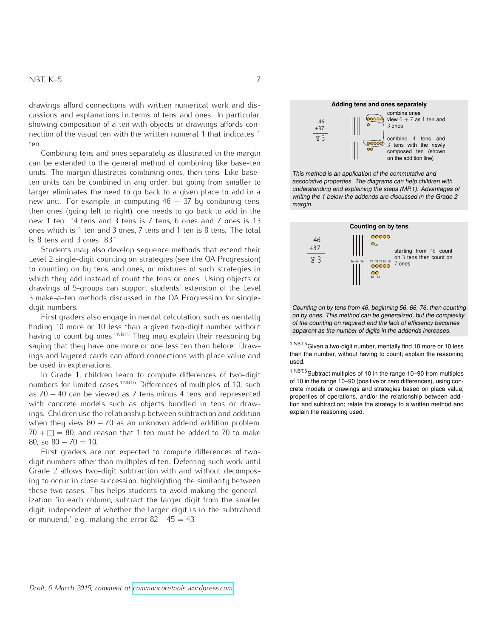drawings afford connections with written numerical work and discussions and explanations in terms of tens and ones. In particular, showing composition of a ten with objects or drawings affords connection of the visual ten with the written numeral 1 that indicates 1 ten.

Combining tens and ones separately as illustrated in the margin can be extended to the general method of combining like base-ten units. The margin illustrates combining ones, then tens. Like baseten units can be combined in any order, but going from smaller to larger eliminates the need to go back to a given place to add in a new unit. For example, in computing  $46 + 37$  by combining tens, then ones (going left to right), one needs to go back to add in the new 1 ten: "4 tens and 3 tens is 7 tens, 6 ones and 7 ones is 13 ones which is 1 ten and 3 ones, 7 tens and 1 ten is 8 tens. The total is 8 tens and 3 ones: 83."

Students may also develop sequence methods that extend their Level 2 single-digit counting on strategies (see the OA Progression) to counting on by tens and ones, or mixtures of such strategies in which they add instead of count the tens or ones. Using objects or drawings of 5-groups can support students' extension of the Level 3 make-a-ten methods discussed in the OA Progression for singledigit numbers.

First graders also engage in mental calculation, such as mentally finding 10 more or 10 less than a given two-digit number without having to count by ones.<sup>1.NBT.5</sup> They may explain their reasoning by saying that they have one more or one less ten than before. Drawings and layered cards can afford connections with place value and be used in explanations.

In Grade 1, children learn to compute differences of two-digit numbers for limited cases.<sup>1.NBT.6</sup> Differences of multiples of 10, such as  $70 - 40$  can be viewed as 7 tens minus 4 tens and represented with concrete models such as objects bundled in tens or drawings. Children use the relationship between subtraction and addition when they view  $80 - 70$  as an unknown addend addition problem,  $70 + \Box = 80$ , and reason that 1 ten must be added to 70 to make 80, so  $80 - 70 = 10$ .

First graders are not expected to compute differences of twodigit numbers other than multiples of ten. Deferring such work until Grade 2 allows two-digit subtraction with and without decomposing to occur in close succession, highlighting the similarity between these two cases. This helps students to avoid making the generalization "in each column, subtract the larger digit from the smaller digit, independent of whether the larger digit is in the subtrahend or minuend," e.g., making the error  $82 - 45 = 43$ .



commo,

associative properties. The alagrams said top simulation that anderstanding and explaining the steps (Mr. 1). Advantages of<br>writing the 1 below the addends are discussed in the Grade 2 This method is an application of the commutative and associative properties. The diagrams can help children with margin.



Counting on by tens from 46, beginning 56, 66, 76, then counting on by ones. This method can be generalized, but the complexity of the counting on required and the lack of efficiency becomes apparent as the number of digits in the addends increases.

 $1.$  NBT.5 Given a two-digit number, mentally find 10 more or 10 less than the number, without having to count; explain the reasoning used.

 $1.$ NBT.6 Subtract multiples of 10 in the range 10–90 from multiples of 10 in the range 10–90 (positive or zero differences), using concrete models or drawings and strategies based on place value, properties of operations, and/or the relationship between addition and subtraction; relate the strategy to a written method and explain the reasoning used.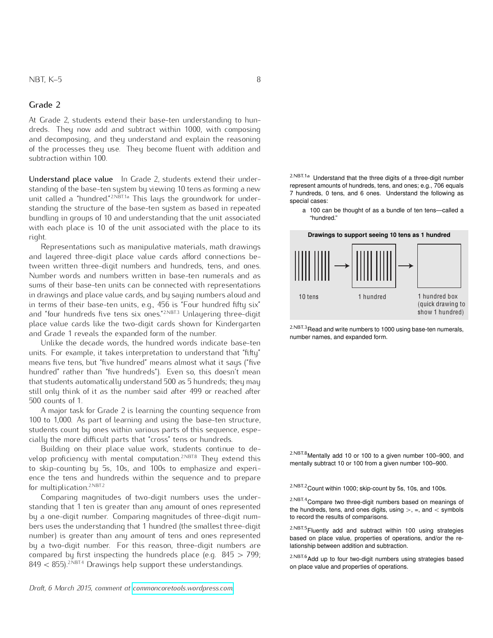At Grade 2, students extend their base-ten understanding to hundreds. They now add and subtract within 1000, with composing and decomposing, and they understand and explain the reasoning of the processes they use. They become fluent with addition and subtraction within 100.

<span id="page-7-0"></span>Understand place value In Grade 2, students extend their understanding of the base-ten system by viewing 10 tens as forming a new unit called a "hundred."<sup>2.NBT.1a</sup> This lays the groundwork for understanding the structure of the base-ten system as based in repeated bundling in groups of 10 and understanding that the unit associated with each place is 10 of the unit associated with the place to its right.

Representations such as manipulative materials, math drawings and layered three-digit place value cards afford connections between written three-digit numbers and hundreds, tens, and ones. Number words and numbers written in base-ten numerals and as sums of their base-ten units can be connected with representations in drawings and place value cards, and by saying numbers aloud and in terms of their base-ten units, e.g., 456 is "Four hundred fifty six" and "four hundreds five tens six ones."<sup>2.NBT.3</sup> Unlayering three-digit place value cards like the two-digit cards shown for Kindergarten and Grade 1 reveals the expanded form of the number.

Unlike the decade words, the hundred words indicate base-ten units. For example, it takes interpretation to understand that "fifty" means five tens, but "five hundred" means almost what it says ("five hundred" rather than "five hundreds"). Even so, this doesn't mean that students automatically understand 500 as 5 hundreds; they may still only think of it as the number said after 499 or reached after 500 counts of 1.

A major task for Grade 2 is learning the counting sequence from 100 to 1,000. As part of learning and using the base-ten structure, students count by ones within various parts of this sequence, especially the more difficult parts that "cross" tens or hundreds.

Building on their place value work, students continue to develop proficiency with mental computation.<sup>2.NBT.8</sup> They extend this mentally subtract 10 or 100 from a given number 100–900.<br>to skip-counting by 5s, 10s, and 100s to emphasize and experience the tens and hundreds within the sequence and to prepare for multiplication.<sup>2.NBT.2</sup> 2.NBT.2 2.NBT.2 Count within 1000; skip-count by 5s, 10s, and 100s.

Comparing magnitudes of two-digit numbers uses the under-<br>
2.NBT.4 Compare two three-digit numbers based on meanings of standing that 1 ten is greater than any amount of ones represented by a one-digit number. Comparing magnitudes of three-digit numbers uses the understanding that 1 hundred (the smallest three-digit number) is greater than any amount of tens and ones represented by a two-digit number. For this reason, three-digit numbers are compared by first inspecting the hundreds place (e.g.  $845 > 799$ ;  $849 < 855$ ).<sup>2.NBT.4</sup> Drawings help support these understandings.

*Draft, 6 March 2015, comment at [commoncoretools.wordpress.com.](commoncoretools.wordpress.com)*

2.NBT.1a Understand that the three digits of a three-digit number represent amounts of hundreds, tens, and ones; e.g., 706 equals 7 hundreds, 0 tens, and 6 ones. Understand the following as special cases:

a 100 can be thought of as a bundle of ten tens—called a "hundred."

 $2.$ NBT $3$ Read and write numbers to 1000 using base-ten numerals, number names, and expanded form.

2.NBT.8Mentally add 10 or 100 to a given number 100–900, and

the hundreds, tens, and ones digits, using  $>$ , =, and  $<$  symbols to record the results of comparisons.

2.NBT.5Fluently add and subtract within 100 using strategies based on place value, properties of operations, and/or the relationship between addition and subtraction.

 $2.$ NBT.6</sub>Add up to four two-digit numbers using strategies based on place value and properties of operations.

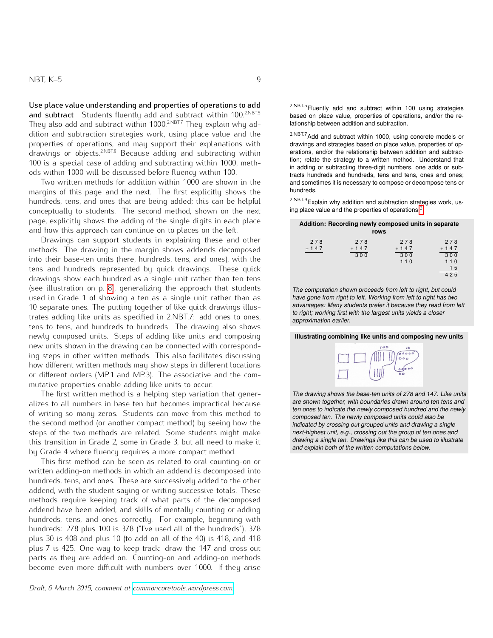Use place value understanding and properties of operations to add and subtract Students fluently add and subtract within 100.<sup>2.NBT.5</sup> They also add and subtract within 1000.<sup>2.NBT.7</sup> They explain why addition and subtraction strategies work, using place value and the properties of operations, and may support their explanations with drawings or objects.2.NBT.9 Because adding and subtracting within 100 is a special case of adding and subtracting within 1000, methods within 1000 will be discussed before fluency within 100.

Two written methods for addition within 1000 are shown in the margins of this page and the next. The first explicitly shows the hundreds, tens, and ones that are being added; this can be helpful conceptually to students. The second method, shown on the next page, explicitly shows the adding of the single digits in each place and how this approach can continue on to places on the left.

Drawings can support students in explaining these and other methods. The drawing in the margin shows addends decomposed into their base-ten units (here, hundreds, tens, and ones), with the tens and hundreds represented by quick drawings. These quick drawings show each hundred as a single unit rather than ten tens (see illustration on p. [8\)](#page-7-0), generalizing the approach that students used in Grade 1 of showing a ten as a single unit rather than as 10 separate ones. The putting together of like quick drawings illustrates adding like units as specified in 2.NBT.7: add ones to ones, tens to tens, and hundreds to hundreds. The drawing also shows newly composed units. Steps of adding like units and composing new units shown in the drawing can be connected with corresponding steps in other written methods. This also facilitates discussing how different written methods may show steps in different locations or different orders (MP.1 and MP.3). The associative and the commutative properties enable adding like units to occur.

The first written method is a helping step variation that generalizes to all numbers in base ten but becomes impractical because of writing so many zeros. Students can move from this method to the second method (or another compact method) by seeing how the steps of the two methods are related. Some students might make this transition in Grade 2, some in Grade 3, but all need to make it by Grade 4 where fluency requires a more compact method.

This first method can be seen as related to oral counting-on or written adding-on methods in which an addend is decomposed into hundreds, tens, and ones. These are successively added to the other addend, with the student saying or writing successive totals. These methods require keeping track of what parts of the decomposed addend have been added, and skills of mentally counting or adding hundreds, tens, and ones correctly. For example, beginning with hundreds: 278 plus 100 is 378 ("I've used all of the hundreds"), 378 plus 30 is 408 and plus 10 (to add on all of the 40) is 418, and 418 plus 7 is 425. One way to keep track: draw the 147 and cross out parts as they are added on. Counting-on and adding-on methods become even more difficult with numbers over 1000. If they arise

*Draft, 6 March 2015, comment at [commoncoretools.wordpress.com.](commoncoretools.wordpress.com)*

2.NBT.5Fluently add and subtract within 100 using strategies based on place value, properties of operations, and/or the re-<br>lationship between addition and subtraction.

2.NBT.7Add and subtract within 1000, using concrete models or drawings and strategies based on place value, properties of operations, and/or the relationship between addition and subtraction; relate the strategy to a written method. Understand that in adding or subtracting three-digit numbers, one adds or subtracts hundreds and hundreds, tens and tens, ones and ones; and sometimes it is necessary to compose or decompose tens or hundreds.

 $2.$ NBT.9 Explain why addition and subtraction strategies work, using place value and the properties of operations.[2](#page-0-0)

#### **Addition: Recording newly composed units in separate rows** 2 7 8 + 1 4 7 2 7 8 + 1 4 7  $300$ 2 7 8 + 1 4 7 3 0 0 1 1 0 2 7 8 + 1 4 7  $300$ 1 1 0 1 5

4 2 5

The computation shown proceeds from left to right, but could have gone from right to left. Working from left to right has two advantages: Many students prefer it because they read from left to right; working first with the largest units yields a closer approximation earlier.

#### **Illustrating combining like units and composing new units**



The drawing shows the base-ten units of 278 and 147. Like units are shown together, with boundaries drawn around ten tens and ten ones to indicate the newly composed hundred and the newly composed ten. The newly composed units could also be indicated by crossing out grouped units and drawing a single next-highest unit, e.g., crossing out the group of ten ones and drawing a single ten. Drawings like this can be used to illustrate and explain both of the written computations below.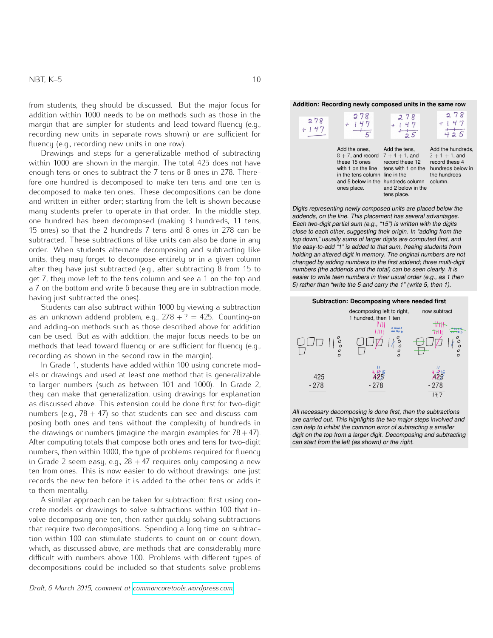from students, they should be discussed. But the major focus for addition within 1000 needs to be on methods such as those in the margin that are simpler for students and lead toward fluency (e.g., recording new units in separate rows shown) or are sufficient for fluency (e.g., recording new units in one row).

Drawings and steps for a generalizable method of subtracting within 1000 are shown in the margin. The total 425 does not have enough tens or ones to subtract the 7 tens or 8 ones in 278. Therefore one hundred is decomposed to make ten tens and one ten is decomposed to make ten ones. These decompositions can be done and written in either order; starting from the left is shown because many students prefer to operate in that order. In the middle step, one hundred has been decomposed (making 3 hundreds, 11 tens, 15 ones) so that the 2 hundreds 7 tens and 8 ones in 278 can be subtracted. These subtractions of like units can also be done in any order. When students alternate decomposing and subtracting like units, they may forget to decompose entirely or in a given column after they have just subtracted (e.g., after subtracting 8 from 15 to get 7, they move left to the tens column and see a 1 on the top and a 7 on the bottom and write 6 because they are in subtraction mode, having just subtracted the ones).

Students can also subtract within 1000 by viewing a subtraction as an unknown addend problem, e.g.,  $278 + ? = 425$ . Counting-on and adding-on methods such as those described above for addition can be used. But as with addition, the major focus needs to be on methods that lead toward fluency or are sufficient for fluency (e.g., recording as shown in the second row in the margin).

In Grade 1, students have added within 100 using concrete models or drawings and used at least one method that is generalizable to larger numbers (such as between 101 and 1000). In Grade 2, they can make that generalization, using drawings for explanation as discussed above. This extension could be done first for two-digit numbers (e.g.,  $78 + 47$ ) so that students can see and discuss composing both ones and tens without the complexity of hundreds in the drawings or numbers (imagine the margin examples for  $78+47$ ). After computing totals that compose both ones and tens for two-digit numbers, then within 1000, the type of problems required for fluency in Grade 2 seem easy, e.g.,  $28 + 47$  requires only composing a new ten from ones. This is now easier to do without drawings: one just records the new ten before it is added to the other tens or adds it to them mentally.

A similar approach can be taken for subtraction: first using concrete models or drawings to solve subtractions within 100 that involve decomposing one ten, then rather quickly solving subtractions that require two decompositions. Spending a long time on subtraction within 100 can stimulate students to count on or count down, which, as discussed above, are methods that are considerably more difficult with numbers above 100. Problems with different types of decompositions could be included so that students solve problems

*Draft, 6 March 2015, comment at [commoncoretools.wordpress.com.](commoncoretools.wordpress.com)*

| 278<br>$+147$ | 278                                                                                                                                                                                   | 278<br>47<br>$5\overline{5}$                                                                | 278<br>$-25$                                                                                             |
|---------------|---------------------------------------------------------------------------------------------------------------------------------------------------------------------------------------|---------------------------------------------------------------------------------------------|----------------------------------------------------------------------------------------------------------|
|               | Add the ones,<br>$8 + 7$ , and record $7 + 4 + 1$ , and<br>these 15 ones<br>with 1 on the line<br>in the tens column line in the<br>and 5 below in the hundreds column<br>ones place. | Add the tens,<br>record these 12<br>tens with 1 on the<br>and 2 below in the<br>tens place. | Add the hundreds,<br>$2 + 1 + 1$ , and<br>record these 4<br>hundreds below in<br>the hundreds<br>column. |

Digits representing newly composed units are placed below the addends, on the line. This placement has several advantages. Each two-digit partial sum (e.g., "15") is written with the digits close to each other, suggesting their origin. In "adding from the top down," usually sums of larger digits are computed first, and the easy-to-add "1" is added to that sum, freeing students from holding an altered digit in memory. The original numbers are not changed by adding numbers to the first addend; three multi-digit numbers (the addends and the total) can be seen clearly. It is easier to write teen numbers in their usual order (e.g., as 1 then 5) rather than "write the 5 and carry the 1" (write 5, then 1).



All necessary decomposing is done first, then the subtractions are carried out. This highlights the two major steps involved and can help to inhibit the common error of subtracting a smaller digit on the top from a larger digit. Decomposing and subtracting can start from the left (as shown) or the right.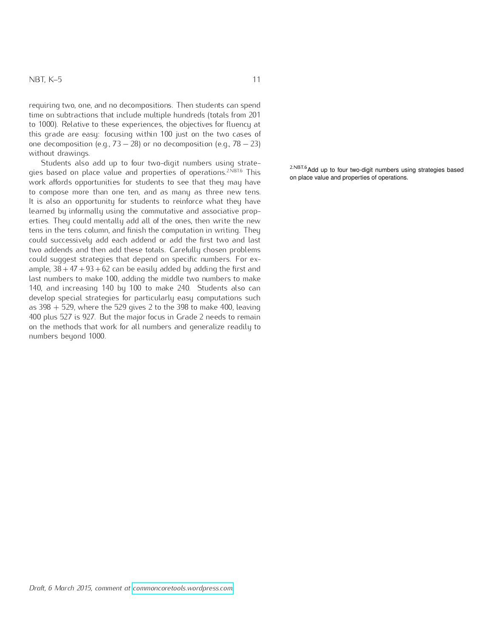requiring two, one, and no decompositions. Then students can spend time on subtractions that include multiple hundreds (totals from 201 to 1000). Relative to these experiences, the objectives for fluency at this grade are easy: focusing within 100 just on the two cases of one decomposition (e.g.,  $73 - 28$ ) or no decomposition (e.g.,  $78 - 23$ ) without drawings.

Students also add up to four two-digit numbers using strategies based on place value and properties of operations.<sup>2.NBT.6</sup> This work affords opportunities for students to see that they may have to compose more than one ten, and as many as three new tens. It is also an opportunity for students to reinforce what they have learned by informally using the commutative and associative properties. They could mentally add all of the ones, then write the new tens in the tens column, and finish the computation in writing. They could successively add each addend or add the first two and last two addends and then add these totals. Carefully chosen problems could suggest strategies that depend on specific numbers. For example,  $38 + 47 + 93 + 62$  can be easily added by adding the first and last numbers to make 100, adding the middle two numbers to make 140, and increasing 140 by 100 to make 240. Students also can develop special strategies for particularly easy computations such as  $398 + 529$ , where the 529 gives 2 to the 398 to make 400, leaving 400 plus 527 is 927. But the major focus in Grade 2 needs to remain on the methods that work for all numbers and generalize readily to numbers beyond 1000.

 $2.$ <sup>NBT.6</sup> Add up to four two-digit numbers using strategies based on place value and properties of operations.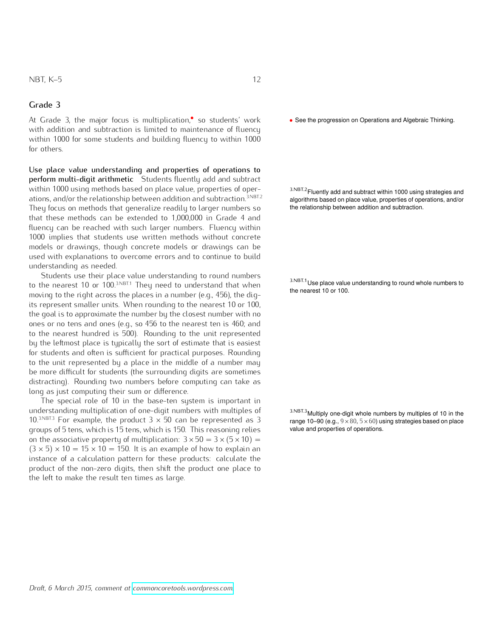At Grade 3, the major focus is multiplication,<sup>•</sup> so students' work with addition and subtraction is limited to maintenance of fluency within 1000 for some students and building fluency to within 1000 for others.

Use place value understanding and properties of operations to perform multi-digit arithmetic Students fluently add and subtract within 1000 using methods based on place value, properties of operations, and/or the relationship between addition and subtraction.<sup>3.NBT.2</sup> They focus on methods that generalize readily to larger numbers so the relationship between addition and subtraction. that these methods can be extended to 1,000,000 in Grade 4 and fluency can be reached with such larger numbers. Fluency within 1000 implies that students use written methods without concrete models or drawings, though concrete models or drawings can be used with explanations to overcome errors and to continue to build understanding as needed.

Students use their place value understanding to round numbers to the nearest 10 or 100.<sup>3.NBT.1</sup> They need to understand that when the nearest 10 or 100. The nearest 10 or 100.<br>moving to the right across the places in a number (e.g., 456), the digits represent smaller units. When rounding to the nearest 10 or 100, the goal is to approximate the number by the closest number with no ones or no tens and ones (e.g., so 456 to the nearest ten is 460; and to the nearest hundred is 500). Rounding to the unit represented by the leftmost place is typically the sort of estimate that is easiest for students and often is sufficient for practical purposes. Rounding to the unit represented by a place in the middle of a number may be more difficult for students (the surrounding digits are sometimes distracting). Rounding two numbers before computing can take as long as just computing their sum or difference.

The special role of 10 in the base-ten system is important in understanding multiplication of one-digit numbers with multiples of 10.<sup>3.NBT.3</sup> For example, the product  $3 \times 50$  can be represented as 3 groups of 5 tens, which is 15 tens, which is 150. This reasoning relies on the associative property of multiplication:  $3 \times 50 = 3 \times (5 \times 10) =$  $(3 \times 5) \times 10 = 15 \times 10 = 150$ . It is an example of how to explain an instance of a calculation pattern for these products: calculate the product of the non-zero digits, then shift the product one place to the left to make the result ten times as large.

• See the progression on Operations and Algebraic Thinking.

3.NBT.2Fluently add and subtract within 1000 using strategies and algorithms based on place value, properties of operations, and/or

3.NBT.1 Use place value understanding to round whole numbers to

3.NBT.3Multiply one-digit whole numbers by multiples of 10 in the range 10–90 (e.g.,  $9 \times 80$ ,  $5 \times 60$ ) using strategies based on place value and properties of operations.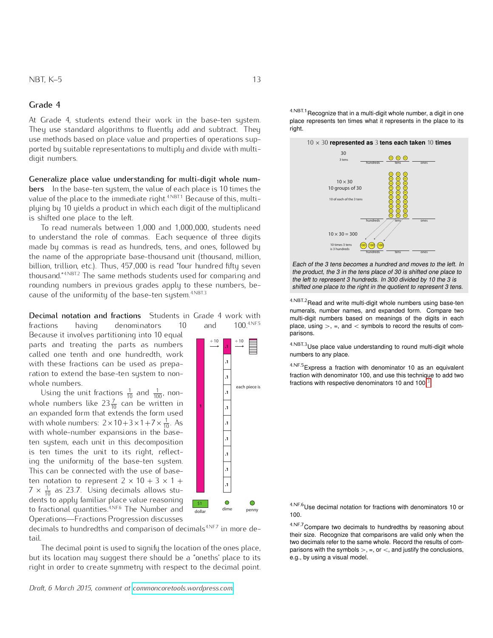At Grade 4, students extend their work in the base-ten system. They use standard algorithms to fluently add and subtract. They use methods based on place value and properties of operations supported by suitable representations to multiply and divide with multidigit numbers.

Generalize place value understanding for multi-digit whole numbers In the base-ten system, the value of each place is 10 times the value of the place to the immediate right.<sup>4,NBT.1</sup> Because of this, multiplying by 10 yields a product in which each digit of the multiplicand is shifted one place to the left.

To read numerals between 1*,*000 and 1*,*000*,*000, students need to understand the role of commas. Each sequence of three digits made by commas is read as hundreds, tens, and ones, followed by the name of the appropriate base-thousand unit (thousand, million, billion, trillion, etc.). Thus, 457*,*000 is read "four hundred fifty seven thousand."4.NBT.2 The same methods students used for comparing and rounding numbers in previous grades apply to these numbers, because of the uniformity of the base-ten system. $^{4,\mathrm{NBT.3}}$ 

Decimal notation and fractions Students in Grade 4 work with

fractions having denominators  $10$ Because it involves partitioning into 10 equal parts and treating the parts as numbers called one tenth and one hundredth, work with these fractions can be used as preparation to extend the base-ten system to nonwhole numbers.

Using the unit fractions  $\frac{1}{10}$  and  $\frac{1}{100}$ , nonwhole numbers like  $23\frac{7}{10}$  can be written in an expanded form that extends the form used with whole numbers:  $2 \times 10 + 3 \times 1 + 7 \times \frac{1}{10}$ . As with whole-number expansions in the baseten system, each unit in this decomposition is ten times the unit to its right, reflecting the uniformity of the base-ten system. This can be connected with the use of baseten notation to represent  $2 \times 10 + 3 \times 1 +$  $7 \times \frac{1}{10}$  as 23.7. Using decimals allows students to apply familiar place value reasoning to fractional quantities.4.NF.6 The Number and 100. Compared the matterial contract the matterial contract terms of the matterial contract terms of decimals to hundredths by reasoning about<br>decimals to hundredths and comparison of decimals<sup>4.NE7</sup> in more de-<br>decimals t

decimals to hundredths and comparison of decimals<sup>4.NF.7</sup> in more detail.

The decimal point is used to signify the location of the ones place, but its location may suggest there should be a "oneths" place to its right in order to create symmetry with respect to the decimal point.

*Draft, 6 March 2015, comment at [commoncoretools.wordpress.com.](commoncoretools.wordpress.com)*

÷ 10 ÷ 10 **.1 .1 .1** each piece is **.1 1 .1 .1 .1 .1 .1 .1**  $\bullet$  $\bigcirc$ \$1

4.NBT.1 Recognize that in a multi-digit whole number, a digit in one place represents ten times what it represents in the place to its

10 ˆ 30 **represented as** 3 **tens each taken** 10 **times**

0 0 0 hundreds tens ones

> 10 (10) (10 10 (10) (10 10 (10) (10 10 (10) (10 10 (10) (10 10 (10) (10 10 (10) (10 10 (10) (10 10) (10) (10 10 (10) (10

hundreds contract tens ones

hundreds tens ones

 $10 \times 30$ 10 groups of 30

 $10$  of each of the  $3$  te

30

3 tens

 $10 \times 30 = 300$ 

10 times 3 tens is 3 hundreds

Each of the 3 tens becomes a hundred and moves to the left. In the product, the 3 in the tens place of 30 is shifted one place to the left to represent 3 hundreds. In 300 divided by 10 the 3 is shifted one place to the right in the quotient to represent 3 tens.

(100) (100

4.NBT.2 Read and write multi-digit whole numbers using base-ten numerals, number names, and expanded form. Compare two multi-digit numbers based on meanings of the digits in each place, using  $>$ , =, and  $<$  symbols to record the results of comparisons.

<sup>4.NBT.3</sup>Use place value understanding to round multi-digit whole numbers to any place.

> 4.NF.5Express a fraction with denominator 10 as an equivalent fraction with denominator 100, and use this technique to add two fractions with respective denominators 10 and  $100<sup>3</sup>$  $100<sup>3</sup>$  $100<sup>3</sup>$

> 4.NF.6 Use decimal notation for fractions with denominators 10 or

their size. Recognize that comparisons are valid only when the two decimals refer to the same whole. Record the results of comparisons with the symbols  $>$ ,  $=$ , or  $<$ , and justify the conclusions, e.g., by using a visual model.

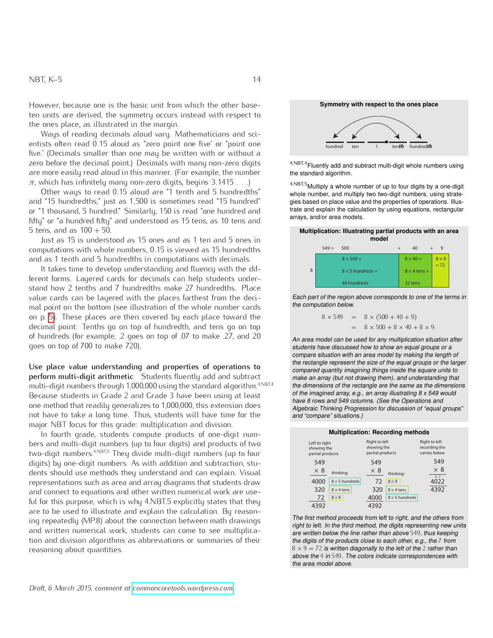However, because one is the basic unit from which the other baseten units are derived, the symmetry occurs instead with respect to the ones place, as illustrated in the margin.

Ways of reading decimals aloud vary. Mathematicians and scientists often read 0*.*15 aloud as "zero point one five" or "point one five." (Decimals smaller than one may be written with or without a zero before the decimal point.) Decimals with many non-zero digits are more easily read aloud in this manner. (For example, the number *π*, which has infinitely many non-zero digits, begins 3*.*1415 *. . .*)

Other ways to read 0*.*15 aloud are "1 tenth and 5 hundredths" and "15 hundredths," just as 1*,*500 is sometimes read "15 hundred" or "1 thousand, 5 hundred." Similarly, 150 is read "one hundred and fifty" or "a hundred fifty" and understood as 15 tens, as 10 tens and 5 tens, and as 100 + 50. **Multiplication: Illustrating partial products with an area Multiplication: Illustrating partial products with an area** 

Just as 15 is understood as 15 ones and as 1 ten and 5 ones in computations with whole numbers, 0*.*15 is viewed as 15 hundredths and as 1 tenth and 5 hundredths in computations with decimals.

It takes time to develop understanding and fluency with the different forms. Layered cards for decimals can help students understand how 2 tenths and 7 hundredths make 27 hundredths. Place value cards can be layered with the places farthest from the decimal point on the bottom (see illustration of the whole number cards on p. [5\)](#page-4-0). These places are then covered by each place toward the decimal point: Tenths go on top of hundredth, and tens go on top of hundreds (for example, .2 goes on top of .07 to make .27, and 20 goes on top of 700 to make 720).

Use place value understanding and properties of operations to perform multi-digit arithmetic Students fluently add and subtract multi-digit numbers through 1,000,000 using the standard algorithm.<sup>4.NBT.4</sup> Because students in Grade 2 and Grade 3 have been using at least one method that readily generalizes to 1,000,000, this extension does not have to take a long time. Thus, students will have time for the major NBT focus for this grade: multiplication and division.

In fourth grade, students compute products of one-digit numbers and multi-digit numbers (up to four digits) and products of two two-digit numbers.<sup>4.NBT.5</sup> They divide multi-digit numbers (up to four digits) by one-digit numbers. As with addition and subtraction, students should use methods they understand and can explain. Visual representations such as area and array diagrams that students draw and connect to equations and other written numerical work are useful for this purpose, which is why 4.NBT.5 explicitly states that they are to be used to illustrate and explain the calculation. By reasoning repeatedly (MP.8) about the connection between math drawings and written numerical work, students can come to see multiplication and division algorithms as abbreviations or summaries of their reasoning about quantities.



 $4.$ <sup>NBT.4</sup> Fluently add and subtract multi-digit whole numbers using the standard algorithm.

4.NBT.5Multiply a whole number of up to four digits by a one-digit whole number, and multiply two two-digit numbers, using strategies based on place value and the properties of operations. Illustrate and explain the calculation by using equations, rectangular arrays, and/or area models.

| model |         |                         |  |                     |                        |
|-------|---------|-------------------------|--|---------------------|------------------------|
|       | $549 =$ | 500                     |  | 40                  | 9                      |
|       |         | $8 \times 500 =$        |  | $8 \times 40 =$     | $8 \times 9$<br>$= 72$ |
| 8     |         | $8 \times 5$ hundreds = |  | $8 \times 4$ tens = |                        |
|       |         | 40 hundreds             |  | 32 tens             |                        |

the computation below. The standard algorithm: Each part of the region above corresponds to one of the terms in

$$
8 \times 549 = 8 \times (500 + 40 + 9)
$$
  
= 8 \times 500 + 8 \times 40 + 8 \times 9.

 $\mathbf{r}$ recording the

549 549 549 students have discussed how to show an equal groups or a compare situation with an area model by making the length of An area model can be used for any multiplication situation after and rectanged top recent the effect the equal groups of the large compared quantity imagining things inside the square units to Example 22 Speaking, analysing them, and understanding that make an array (but not drawing them), and understanding that the dimensions of the rectangle are the same as the dimensions of the imagined array, e.g., an array illustrating  $8 \times 549$  would the rectangle represent the size of the equal groups or the larger have 8 rows and 549 columns. (See the Operations and Algebraic Thinking Progression for discussion of "equal groups" and "compare" situations.)

| <b>Multiplication: Recording methods</b>         |                       |                                                  |                       |                                                        |  |
|--------------------------------------------------|-----------------------|--------------------------------------------------|-----------------------|--------------------------------------------------------|--|
| Left to right<br>showing the<br>partial products |                       | Right to left<br>showing the<br>partial products |                       | <b>Right to left</b><br>recording the<br>carries below |  |
| 549                                              |                       | 549                                              |                       | 549                                                    |  |
| $\times 8$                                       | thinking:             | $\times 8$                                       | thinkina:             | $\times 8$                                             |  |
| 4000                                             | $8 \times 5$ hundreds | 72                                               | $8 \times 9$          | 37<br>4022                                             |  |
| 320                                              | $8 \times 4$ tens     | 320                                              | $8 \times 4$ tens     | 4392                                                   |  |
| 72                                               | $8\times9$            | 4000                                             | $8 \times 5$ hundreds |                                                        |  |
|                                                  |                       |                                                  |                       |                                                        |  |

The first method proceeds from left to right, and the others from right to left. In the third method, the digits representing new units are written below the line rather than above 549, thus keeping the digits of the products close to each other, e.g., the 7 from  $8 \times 9 = 72$  is written diagonally to the left of the 2 rather than above the 4 in 549. The colors indicate correspondences with the area model above.

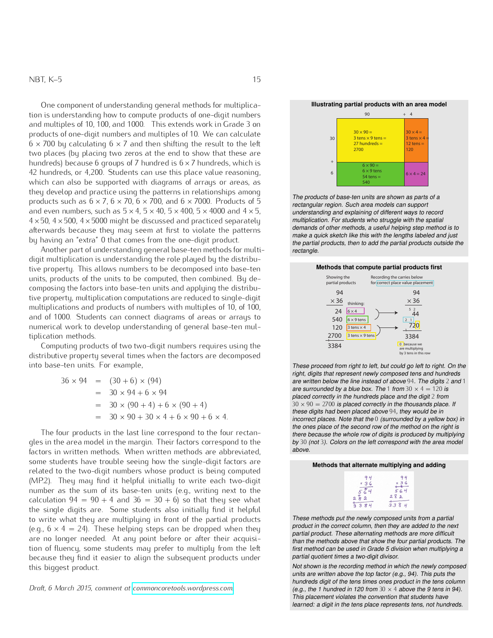One component of understanding general methods for multiplication is understanding how to compute products of one-digit numbers and multiples of 10, 100, and 1000. This extends work in Grade 3 on products of one-digit numbers and multiples of 10. We can calculate  $6 \times 700$  by calculating  $6 \times 7$  and then shifting the result to the left two places (by placing two zeros at the end to show that these are hundreds) because 6 groups of 7 hundred is  $6 \times 7$  hundreds, which is 42 hundreds, or 4*,*200. Students can use this place value reasoning, which can also be supported with diagrams of arrays or areas, as they develop and practice using the patterns in relationships among products such as  $6 \times 7$ ,  $6 \times 70$ ,  $6 \times 700$ , and  $6 \times 7000$ . Products of 5 and even numbers, such as  $5 \times 4$ ,  $5 \times 40$ ,  $5 \times 400$ ,  $5 \times 4000$  and  $4 \times 5$ ,  $4 \times 50$ ,  $4 \times 500$ ,  $4 \times 5000$  might be discussed and practiced separately afterwards because they may seem at first to violate the patterns by having an "extra" 0 that comes from the one-digit product.

Another part of understanding general base-ten methods for multidigit multiplication is understanding the role played by the distributive property. This allows numbers to be decomposed into base-ten units, products of the units to be computed, then combined. By decomposing the factors into base-ten units and applying the distributive property, multiplication computations are reduced to single-digit multiplications and products of numbers with multiples of 10, of 100, and of 1000. Students can connect diagrams of areas or arrays to numerical work to develop understanding of general base-ten multiplication methods.

Computing products of two two-digit numbers requires using the distributive property several times when the factors are decomposed into base-ten units. For example,

$$
36 \times 94 = (30 + 6) \times (94)
$$
  
= 30 \times 94 + 6 \times 94  
= 30 \times (90 + 4) + 6 \times (90 + 4)  
= 30 \times 90 + 30 \times 4 + 6 \times 90 + 6 \times 4.

The four products in the last line correspond to the four rectangles in the area model in the margin. Their factors correspond to the factors in written methods. When written methods are abbreviated, some students have trouble seeing how the single-digit factors are related to the two-digit numbers whose product is being computed (MP.2). They may find it helpful initially to write each two-digit number as the sum of its base-ten units (e.g., writing next to the calculation  $94 = 90 + 4$  and  $36 = 30 + 6$ ) so that they see what the single digits are. Some students also initially find it helpful to write what they are multiplying in front of the partial products (e.g.,  $6 \times 4 = 24$ ). These helping steps can be dropped when they are no longer needed. At any point before or after their acquisition of fluency, some students may prefer to multiply from the left because they find it easier to align the subsequent products under this biggest product.

*Draft, 6 March 2015, comment at [commoncoretools.wordpress.com.](commoncoretools.wordpress.com)*

#### **Illustrating partial products with an area model**



rectangular region. Such area models can support understanding and explaining of different ways to record man products between the carries of the carrier opened is to<br>demands of other methods, a useful helping step method is to ייי ייט.<br>14 te ooloo<br>Irinte the partial products, then to add the partial products outside the<br>rectangle. The products of base-ten units are shown as parts of a multiplication. For students who struggle with the spatial make a quick sketch like this with the lengths labeled and just rectangle.

## Methods that compute partial products first



These proceed from right to left, but could go left to right. On the right, digits that represent newly composed tens and hundreds are written below the line instead of above 94. The digits 2 and 1 are surrounded by a blue box. The 1 from  $30 \times 4 = 120$  is placed correctly in the hundreds place and the digit 2 from  $30 \times 90 = 2700$  is placed correctly in the thousands place. If these digits had been placed above 94, they would be in incorrect places. Note that the 0 (surrounded by a yellow box) in the ones place of the second row of the method on the right is there because the whole row of digits is produced by multiplying by 30 (not 3). Colors on the left correspond with the area model above.

| Methods that alternate multiplying and adding |                     |  |
|-----------------------------------------------|---------------------|--|
| $x \sqrt{3}$<br>2<br>ಳ                        | $\mathbf{a}$<br>338 |  |

These methods put the newly composed units from a partial product in the correct column, then they are added to the next partial product. These alternating methods are more difficult than the methods above that show the four partial products. The first method can be used in Grade 5 division when multiplying a partial quotient times a two-digit divisor.

Not shown is the recording method in which the newly composed units are written above the top factor (e.g., 94). This puts the hundreds digit of the tens times ones product in the tens column (e.g., the 1 hundred in 120 from  $30 \times 4$  above the 9 tens in 94). This placement violates the convention that students have learned: a digit in the tens place represents tens, not hundreds.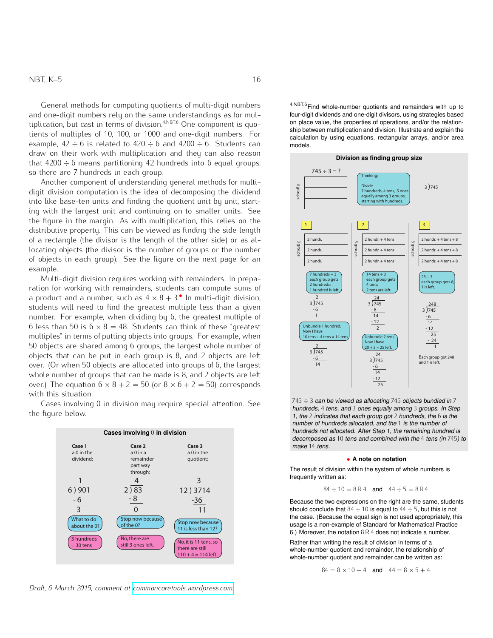General methods for computing quotients of multi-digit numbers and one-digit numbers rely on the same understandings as for multiplication, but cast in terms of division.<sup>4.NBT.6</sup> One component is quotients of multiples of 10, 100, or 1000 and one-digit numbers. For example,  $42 \div 6$  is related to  $420 \div 6$  and  $4200 \div 6$ . Students can draw on their work with multiplication and they can also reason that  $4200 \div 6$  means partitioning 42 hundreds into 6 equal groups, so there are 7 hundreds in each group.

Another component of understanding general methods for multidigit division computation is the idea of decomposing the dividend into like base-ten units and finding the quotient unit by unit, starting with the largest unit and continuing on to smaller units. See the figure in the margin. As with multiplication, this relies on the distributive property. This can be viewed as finding the side length of a rectangle (the divisor is the length of the other side) or as allocating objects (the divisor is the number of groups or the number of objects in each group). See the figure on the next page for an example.

Multi-digit division requires working with remainders. In preparation for working with remainders, students can compute sums of a product and a number, such as  $4 \times 8 + 3$ . In multi-digit division, students will need to find the greatest multiple less than a given number. For example, when dividing by 6, the greatest multiple of 6 less than 50 is  $6 \times 8 = 48$ . Students can think of these "greatest" multiples" in terms of putting objects into groups. For example, when 50 objects are shared among 6 groups, the largest whole number of objects that can be put in each group is 8, and 2 objects are left over. (Or when 50 objects are allocated into groups of 6, the largest whole number of groups that can be made is 8, and 2 objects are left over.) The equation  $6 \times 8 + 2 = 50$  (or  $8 \times 6 + 2 = 50$ ) corresponds with this situation.

> **Cases involving** 0 **in division**  $6) 901$  2) 83 - 6  $\overline{3}$ 1 4 - 8 0 12 ) 3714 -36 11 3 **Stop now because** of the 0? No, there are still 3 ones left. Stop now because 11 is less than 12? No, it is 11 tens, so there are still  $110 + 4 = 114$  left **Case 1** a 0 in the dividend: **Case 2** a 0 in a remainder part way through: **Case 3** a 0 in the quotient: What to do about the 0? 3 hundreds = 30 tens

Cases involving 0 in division may require special attention. See the figure below.

*Draft, 6 March 2015, comment at [commoncoretools.wordpress.com.](commoncoretools.wordpress.com)*

4.NBT.6 Find whole-number quotients and remainders with up to four-digit dividends and one-digit divisors, using strategies based on place value, the properties of operations, and/or the relationship between multiplication and division. Illustrate and explain the calculation by using equations, rectangular arrays, and/or area models.



 $745 \div 3$  can be viewed as allocating 745 objects bundled in 7 hundreds, 4 tens, and 3 ones equally among 3 groups. In Step 1, the 2 indicates that each group got 2 hundreds, the 6 is the number of hundreds allocated, and the 1 is the number of hundreds not allocated. After Step 1, the remaining hundred is decomposed as 10 tens and combined with the 4 tens (in 745) to make 14 tens.

#### *•* **A note on notation**

The result of division within the system of whole numbers is frequently written as:

$$
84 \div 10 = 8R4
$$
 and  $44 \div 5 = 8R4$ .

Because the two expressions on the right are the same, students should conclude that  $84 \div 10$  is equal to  $44 \div 5$ , but this is not the case. (Because the equal sign is not used appropriately, this usage is a non-example of Standard for Mathematical Practice 6.) Moreover, the notation  $8R4$  does not indicate a number.

Rather than writing the result of division in terms of a whole-number quotient and remainder, the relationship of whole-number quotient and remainder can be written as:

 $84 = 8 \times 10 + 4$  and  $44 = 8 \times 5 + 4$ .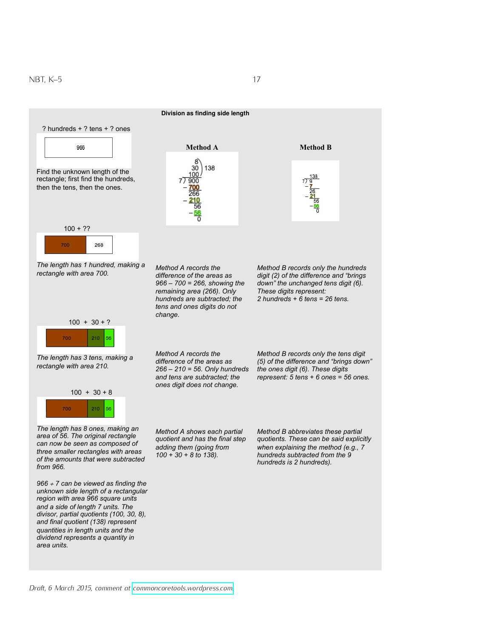

*Draft, 6 March 2015, comment at [commoncoretools.wordpress.com.](commoncoretools.wordpress.com)*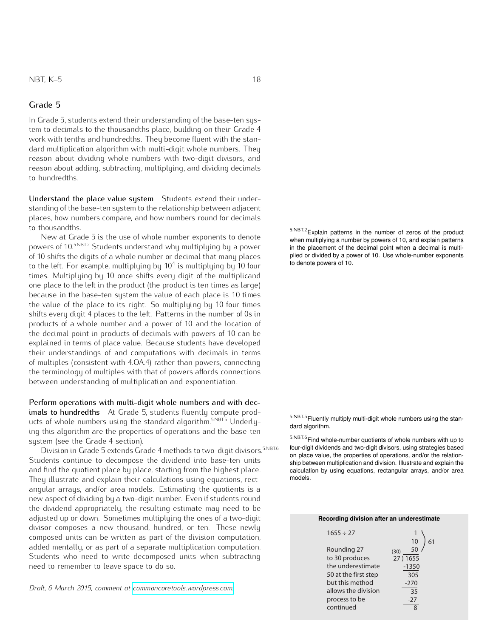In Grade 5, students extend their understanding of the base-ten system to decimals to the thousandths place, building on their Grade 4 work with tenths and hundredths. They become fluent with the standard multiplication algorithm with multi-digit whole numbers. They reason about dividing whole numbers with two-digit divisors, and reason about adding, subtracting, multiplying, and dividing decimals to hundredths.

Understand the place value system Students extend their understanding of the base-ten system to the relationship between adjacent places, how numbers compare, and how numbers round for decimals to thousandths.

New at Grade 5 is the use of whole number exponents to denote powers of 10.5.NBT.2 Students understand why multiplying by a power of 10 shifts the digits of a whole number or decimal that many places to the left. For example, multiplying by 10 $^4$  is multiplying by 10 four times. Multiplying by 10 once shifts every digit of the multiplicand one place to the left in the product (the product is ten times as large) because in the base-ten system the value of each place is 10 times the value of the place to its right. So multiplying by 10 four times shifts every digit 4 places to the left. Patterns in the number of 0s in products of a whole number and a power of 10 and the location of the decimal point in products of decimals with powers of 10 can be explained in terms of place value. Because students have developed their understandings of and computations with decimals in terms of multiples (consistent with 4.OA.4) rather than powers, connecting the terminology of multiples with that of powers affords connections between understanding of multiplication and exponentiation.

Perform operations with multi-digit whole numbers and with decimals to hundredths At Grade 5, students fluently compute products of whole numbers using the standard algorithm.<sup>5.NBT.5</sup> Underlying this algorithm are the properties of operations and the base-ten system (see the Grade 4 section).

Division in Grade 5 extends Grade 4 methods to two-digit divisors.<sup>5.NBT.6</sup> Students continue to decompose the dividend into base-ten units and find the quotient place by place, starting from the highest place. They illustrate and explain their calculations using equations, rectangular arrays, and/or area models. Estimating the quotients is a new aspect of dividing by a two-digit number. Even if students round the dividend appropriately, the resulting estimate may need to be adjusted up or down. Sometimes multiplying the ones of a two-digit divisor composes a new thousand, hundred, or ten. These newly composed units can be written as part of the division computation, added mentally, or as part of a separate multiplication computation. Students who need to write decomposed units when subtracting need to remember to leave space to do so.

*Draft, 6 March 2015, comment at [commoncoretools.wordpress.com.](commoncoretools.wordpress.com)*

5.NBT.2Explain patterns in the number of zeros of the product when multiplying a number by powers of 10, and explain patterns in the placement of the decimal point when a decimal is multiplied or divided by a power of 10. Use whole-number exponents to denote powers of 10.

 $5.$ NBT.5 Fluently multiply multi-digit whole numbers using the stan-dard algorithm.

 $5.$ NBT.6 Find whole-number quotients of whole numbers with up to four-digit dividends and two-digit divisors, using strategies based on place value, the properties of operations, and/or the relationship between multiplication and division. Illustrate and explain the calculation by using equations, rectangular arrays, and/or area models.

#### **Recording division after an underestimate**

| $1655 \div 27$       |            |
|----------------------|------------|
|                      | 10         |
| Rounding 27          | 50<br>(30) |
| to 30 produces       | 27) 1655   |
| the underestimate    | $-1350$    |
| 50 at the first step | 305        |
| but this method      | $-270$     |
| allows the division  | 35         |
| process to be        | $-27$      |
| continued            |            |
|                      |            |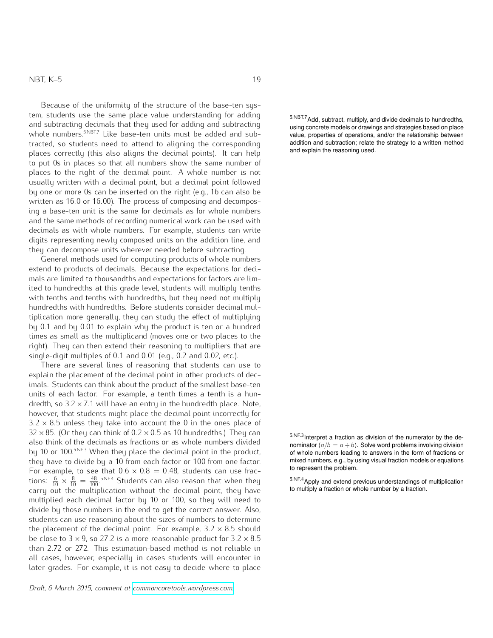Because of the uniformity of the structure of the base-ten system, students use the same place value understanding for adding and subtracting decimals that they used for adding and subtracting whole numbers.<sup>5.NBT.7</sup> Like base-ten units must be added and subtracted, so students need to attend to aligning the corresponding places correctly (this also aligns the decimal points). It can help to put 0s in places so that all numbers show the same number of places to the right of the decimal point. A whole number is not usually written with a decimal point, but a decimal point followed by one or more 0s can be inserted on the right (e.g., 16 can also be written as 16*.*0 or 16*.*00). The process of composing and decomposing a base-ten unit is the same for decimals as for whole numbers and the same methods of recording numerical work can be used with decimals as with whole numbers. For example, students can write digits representing newly composed units on the addition line, and they can decompose units wherever needed before subtracting.

General methods used for computing products of whole numbers extend to products of decimals. Because the expectations for decimals are limited to thousandths and expectations for factors are limited to hundredths at this grade level, students will multiply tenths with tenths and tenths with hundredths, but they need not multiply hundredths with hundredths. Before students consider decimal multiplication more generally, they can study the effect of multiplying by 0*.*1 and by 0*.*01 to explain why the product is ten or a hundred times as small as the multiplicand (moves one or two places to the right). They can then extend their reasoning to multipliers that are single-digit multiples of 0*.*1 and 0*.*01 (e.g., 0*.*2 and 0*.*02, etc.).

There are several lines of reasoning that students can use to explain the placement of the decimal point in other products of decimals. Students can think about the product of the smallest base-ten units of each factor. For example, a tenth times a tenth is a hundredth, so  $3.2 \times 7.1$  will have an entry in the hundredth place. Note, however, that students might place the decimal point incorrectly for  $3.2 \times 8.5$  unless they take into account the 0 in the ones place of  $32 \times 85$ . (Or they can think of  $0.2 \times 0.5$  as 10 hundredths.) They can also think of the decimals as fractions or as whole numbers divided by 10 or 100.<sup>5.NF.3</sup> When they place the decimal point in the product, they have to divide by a 10 from each factor or 100 from one factor. For example, to see that  $0.6 \times 0.8 = 0.48$ , students can use fractions:  $\frac{6}{10} \times \frac{8}{10} = \frac{48}{100}$ . Students can also reason that when they start Apply and extend previous understandings of multiplication carry out the multiplication without the decimal point, they have to multiply a fraction or whole number by a fraction. multiplied each decimal factor by 10 or 100, so they will need to divide by those numbers in the end to get the correct answer. Also, students can use reasoning about the sizes of numbers to determine the placement of the decimal point. For example,  $3.2 \times 8.5$  should be close to  $3 \times 9$ , so 27.2 is a more reasonable product for  $3.2 \times 8.5$ than 2*.*72 or 272. This estimation-based method is not reliable in all cases, however, especially in cases students will encounter in later grades. For example, it is not easy to decide where to place

*Draft, 6 March 2015, comment at [commoncoretools.wordpress.com.](commoncoretools.wordpress.com)*

5.NBT.7Add, subtract, multiply, and divide decimals to hundredths, using concrete models or drawings and strategies based on place value, properties of operations, and/or the relationship between addition and subtraction; relate the strategy to a written method and explain the reasoning used.

5.NF.3 Interpret a fraction as division of the numerator by the denominator  $(a/b = a \div b)$ . Solve word problems involving division of whole numbers leading to answers in the form of fractions or mixed numbers, e.g., by using visual fraction models or equations to represent the problem.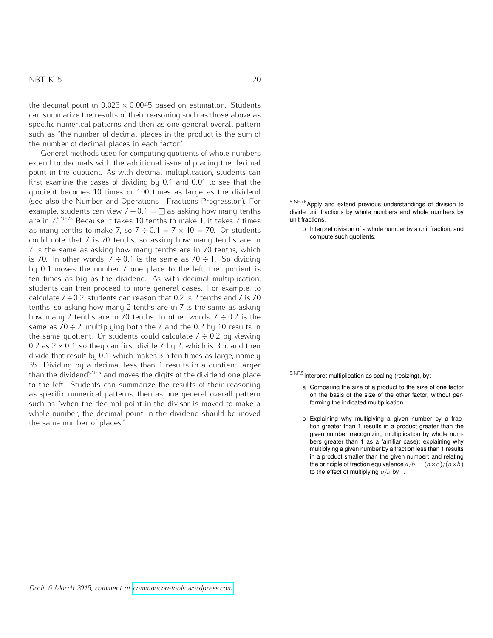the decimal point in  $0.023 \times 0.0045$  based on estimation. Students can summarize the results of their reasoning such as those above as specific numerical patterns and then as one general overall pattern such as "the number of decimal places in the product is the sum of the number of decimal places in each factor."

General methods used for computing quotients of whole numbers extend to decimals with the additional issue of placing the decimal point in the quotient. As with decimal multiplication, students can first examine the cases of dividing by 0*.*1 and 0*.*01 to see that the quotient becomes 10 times or 100 times as large as the dividend (see also the Number and Operations—Fractions Progression). For example, students can view  $7 \div 0.1 = \square$  as asking how many tenths are in 7. 5.NF.7b Because it takes 10 tenths to make 1, it takes 7 times as many tenths to make 7, so  $7 \div 0.1 = 7 \times 10 = 70$ . Or students could note that 7 is 70 tenths, so asking how many tenths are in 7 is the same as asking how many tenths are in 70 tenths, which is 70. In other words,  $7 \div 0.1$  is the same as 70  $\div 1$ . So dividing by 0*.*1 moves the number 7 one place to the left, the quotient is ten times as big as the dividend. As with decimal multiplication, students can then proceed to more general cases. For example, to calculate 7˜0*.*2, students can reason that 0*.*2 is 2 tenths and 7 is 70 tenths, so asking how many 2 tenths are in 7 is the same as asking how many 2 tenths are in 70 tenths. In other words,  $7 \div 0.2$  is the same as  $70 \div 2$ ; multiplying both the 7 and the 0.2 by 10 results in the same quotient. Or students could calculate  $7 \div 0.2$  by viewing 0.2 as  $2 \times 0.1$ , so they can first divide 7 by 2, which is 3.5, and then divide that result by 0*.*1, which makes 3*.*5 ten times as large, namely 35. Dividing by a decimal less than 1 results in a quotient larger than the dividend<sup>5.NF.5</sup> and moves the digits of the dividend one place 5.NF.5 Interpret multiplication as scaling (resizing), by: to the left. Students can summarize the results of their reasoning as specific numerical patterns, then as one general overall pattern such as "when the decimal point in the divisor is moved to make a whole number, the decimal point in the dividend should be moved the same number of places."

5.NF.7b Apply and extend previous understandings of division to divide unit fractions by whole numbers and whole numbers by

unit fractions.

b Interpret division of a whole number by a unit fraction, and compute such quotients.

- a Comparing the size of a product to the size of one factor on the basis of the size of the other factor, without performing the indicated multiplication.
- b Explaining why multiplying a given number by a fraction greater than 1 results in a product greater than the given number (recognizing multiplication by whole numbers greater than 1 as a familiar case); explaining why multiplying a given number by a fraction less than 1 results in a product smaller than the given number; and relating the principle of fraction equivalence  $a/b = (n \times a)/(n \times b)$ to the effect of multiplying  $a/b$  by 1.